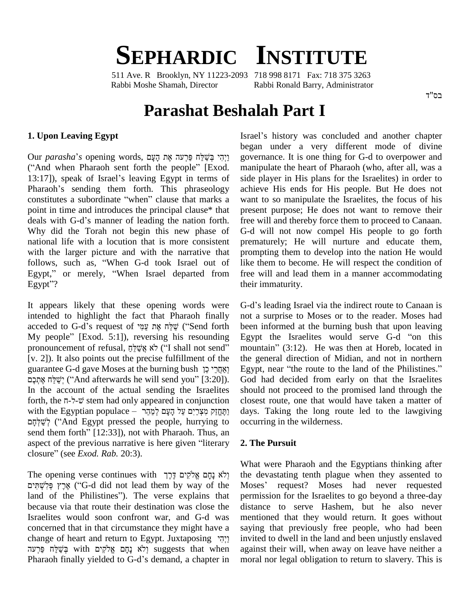# **SEPHARDIC INSTITUTE**

511 Ave. R Brooklyn, NY 11223-2093 718 998 8171 Fax: 718 375 3263 Rabbi Moshe Shamah, Director Rabbi Ronald Barry, Administrator

#### בס"ד

# **Parashat Beshalah Part I**

#### **1. Upon Leaving Egypt**

Our *parasha*'s opening words, ויִהִי בִּשׁׁלֹּח פּרִעה אֵת העם b<br>(iː יִהְי בְּשֵׁלֵּח פַּרְעֹה אֶת הָעָם words, פַּרְעֹה פָּרְעֹה פָּרְעֹה פֵרְעֹה פָּר<br>Exod. m) (Exod. m) Exod. Exod. m) External m Our *parasha*'s opening words, וַיְהִי בְּשֵׁלֵּח פַּרְעה אֶת הָעָם<br>("And when Pharaoh sent forth the people" [Exod. ma<br>13:17]), speak of Israel's leaving Egypt in terms of side ("And when Pharaoh sent forth the people" [Exod. manip 13:17]), speak of Israel's leaving Egypt in terms of side p<br>Pharaoh's sending them forth. This phraseology achiev 13:17]), speak of Israel's leaving Egypt in terms of Pharaoh's sending them forth. This phraseology constitutes a subordinate "when" clause that marks a point in time and introduces the principal clause\* that deals with G-d's manner of leading the nation forth. Why did the Torah not begin this new phase of national life with a locution that is more consistent with the larger picture and with the narrative that national life with a locution that is more consistent pre<br>with the larger picture and with the narrative that pro<br>follows, such as, "When G-d took Israel out of like with the larger picture and with the narrative that prompting<br>follows, such as, "When G-d took Israel out of like them t<br>Egypt," or merely, "When Israel departed from free will an follows, such<br>Egypt," or me<br>Egypt''?

It appears likely that these opening words were G-d's<br>intended to highlight the fact that Pharaoh finally not a<br>acceded to G-d's request of אֲמֵלָּח אֶת עֲמָי intended to highlight the fact that Pharaoh finally intended to highlight the fact that Pharaoh finally not a acceded to G-d's request of שֲלָּח אֶת עֲמָי ("Send forth been i<br>My people" [Exod. 5:1]), reversing his resounding Egypt pronouncement of request of שֲלֵּח אֶת עֲמָי ("Send forth been My people" [Exod. 5:1]), reversing his resounding Egyp<br>pronouncement of refusal, אֲשֵׁילֵא אֹי ("I shall not send" mour [v. 2]). It also points out the precise fulfillment of the the g pronouncement of refusal, אַלֵּשֵׂלֵל ("I shall not send" m<br>[v. 2]). It also points out the precise fulfillment of the the guarantee G-d gave Moses at the burning bush [אֶחֲרֵי כֵּן ʭʫʓʺʍʠʓ ʧ˘ʔˇʔʍʩ (ìAnd afterwards he will send you<sup>î</sup> [3:20]). In the account of the actual sending the Israelites יִשֵׁלָּה אֵתְכֶם ("And afterwards he will send you" [3:20]). In the account of the actual sending the Israelites sh<br>forth, the ה-ל-שׂ stem had only appeared in conjunction clouith the Egyptian populace  $-$  מַחֱזַק מִצְרַיִם עַל הָעָם לְמֵהֶר forth, the  $\pi$ - $\forall$ - $\psi$  stem had only appeared in conjunction , the ת-ל-ש stem had only appeared in conjunction closes<br>the Egyptian populace – הַתֲחֲזַק מִצְרַיִם עַל הָעָם לְמַהֵר<br>(And Egypt pressed the people, hurrying to occurr') ל with the Egyptian populace – יַתֶּחֲזַק מִצְרַיִם עַל הָעָם לְמַהֵּר<br>הוֹי ('And Egypt pressed the people, hurrying to occurr send them forth'' [12:33]), not with Pharaoh. Thus, an לְשֵׁלְּחָם ("And Egypt pressed the people, hurrying to occurr send them forth" [12:33]), not with Pharaoh. Thus, an aspect of the previous narrative is here given "literary 2. The send them forth<sup>77</sup> [12:33]), not with<br>aspect of the previous narrative is b<br>closure<sup>37</sup> (see *Exod. Rab.* 20:3).  $\begin{array}{lll} \text{closure'' (see } \overline{\text{Exod.} \text{ } \text{Rab.} \text{ } 20:3). \end{array}$ <br>The opening verse continues with יְלֹא נָחָם אֱלֹקִים דֶּרֶךְ

What<br>the cite (לֹא נָחָם אֱלֹקִים דֶּרֶךְ<br>G-d did not lead them by way of the Mose ('G-d did not lead them by way of the The opening verse continues with יְלֹא נָחָם אֱלֹקִים דֶּרֶךְ th<br>וּ (G-d did not lead them by way of the Mand of the Philistines''). The verse explains that pe because via that route their destination was close the Israelites would soon confront war, and G-d was men<br>concerned that in that circumstance they might have a sayi<br>change of heart and return to Egypt. Juxtaposing  $\gamma$ concerned that in that circumstance they might have a sayin rned that in that circumstance they might have a<br>
e of heart and return to Egypt. Juxtaposing יְלָא נְחָם אֱלֹקִים with בְּשֵׁלַּה<br>
יְלֹא נָחָם אֱלֹקִים with בְּשֵׁלַּה change of heart and return to Egypt. Juxtaposing וַיְהִי invited<br>פִּלְמֵים with בְּשֵׁלַּח פִּרְעה suggests that when agains<br>Pharaoh finally yielded to G-d's demand, a chapter in moral

Israel's history was concluded and another chapter began under a very different mode of divine governance. It is one thing for G-d to overpower and manipulate the heart of Pharaoh (who, after all, was a side player in His plans for the Israelites) in order to achieve His ends for His people. But He does not want to so manipulate the Israelites, the focus of his present purpose; He does not want to remove their free will and thereby force them to proceed to Canaan. G-d will not now compel His people to go forth prematurely; He will nurture and educate them, prompting them to develop into the nation He would like them to become. He will respect the condition of free will and lead them in a manner accommodating their immaturity.

G-d's leading Israel via the indirect route to Canaan is not a surprise to Moses or to the reader. Moses had<br>been informed at the burning bush that upon leaving<br>Egypt the Israelites would serve G-d "on this been informed at the burning bush that upon leaving<br>Egypt the Israelites would serve G-d "on this<br>mountain" (3:12). He was then at Horeb, located in the general direction of Midian, and not in northern mountain" (3:12). He was then at Horeb, located in the general direction of Midian, and not in northern Egypt, near "the route to the land of the Philistines." God had decided from early on that the Israelites should not proceed to the promised land through the closest route, one that would have taken a matter of days. Taking the long route led to the lawgiving occurring in the wilderness.

#### **2. The Pursuit**

What were Pharaoh and the Egyptians thinking after the devastating tenth plague when they assented to What were Pharaoh and the Egyptians thinking after<br>the devastating tenth plague when they assented to<br>Moses' request? Moses had never requested permission for the Israelites to go beyond a three-day distance to serve Hashem, but he also never mentioned that they would return. It goes without saying that previously free people, who had been invited to dwell in the land and been unjustly enslaved against their will, when away on leave have neither a moral nor legal obligation to return to slavery. This is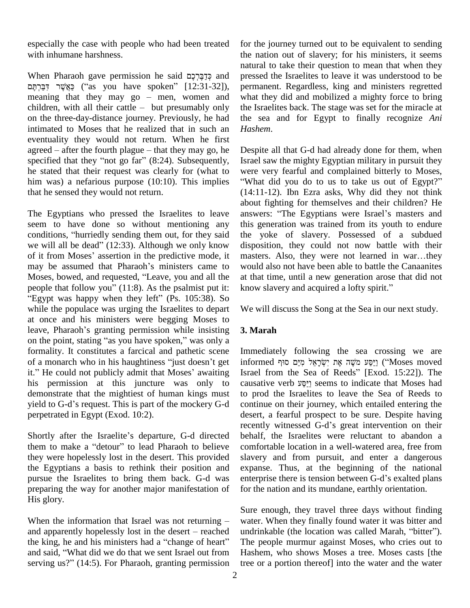especially the case with people who had been treated with inhumane harshness. with inhumane harshness. the na<br>natura<br>When Pharaoh gave permission he said קַדַּבֶּרְכֶם and presse

n<br>Pharaoh gave permission he said קַדַּבֶּרְכֶם<br>Gas you have spoken" [12:31-32]), p When Pharaoh gave permission he said בְּדֵבְּרְהָם and presse<br>יַצְאֲשֶׁר דִּבַּרְהָם (''as you have spoken'' [12:31-32]), perma<br>meaning that they may go – men, women and what t רַבּּרְתֶּם ("as you have spoken" [12:31-32]), meaning that they may go – men, women and children, with all their cattle – but presumably only on the three-day-distance journey. Previously, he had intimated to Moses that he realized that in such an eventuality they would not return. When he first intimated to Moses that he realized that in such an *Hash* eventuality they would not return. When he first agreed – after the fourth plague – that they may go, he Desp eventuality they would not return. When he first<br>agreed – after the fourth plague – that they may go, he D<br>specified that they "not go far" (8:24). Subsequently, Is he stated that their request was clearly for (what to were very fearful and complained bitterly to Moses, him was) a nefarious purpose (10:10). This implies "What did you do to us to take us out of Egypt?" that he sensed they would not return.

seem to have done so without mentioning any this go The Egyptians who pressed the Israelites to leave answe<br>seem to have done so without mentioning any this go<br>conditions, "hurriedly sending them out, for they said the y seem to have done so without mentioning any this gener<br>conditions, "hurriedly sending them out, for they said the yoke<br>we will all be dead" (12:33). Although we only know disposition conditions, "hurriedly sending them out, for they said the yoke of slavery. Possessed of a subdued we will all be dead" (12:33). Although we only know disposition, they could not now battle with their of it from Moses' ass of it from Moses' assertion in the predictive mode, it may be assumed that Pharaoh's ministers came to Moses, bowed, and requested, "Leave, you and all the may be assumed that Pharaoh's ministers came to www.<br>Moses, bowed, and requested, "Leave, you and all the at people that follow you" (11:8). As the psalmist put it: <br>kr Aoses, bowed, and requested, "Leave, you and all the at that eople that follow you" (11:8). As the psalmist put it: know Egypt was happy when they left" (Ps. 105:38). So while the populace was urging the Israelites to depart We with a once and his ministers were begging Moses to leave, Pharaoh's granting permission while insisting 3. Ma at once and his ministers were begging Moses to at once and his ministers were begging Moses to<br>leave, Pharaoh's granting permission while insisting 3. Ma<br>on the point, stating "as you have spoken," was only a formality. It constitutes a farcical and pathetic scene on the point, stating "as you have spoken," was only a<br>formality. It constitutes a farcical and pathetic scene In<br>of a monarch who in his haughtiness "just doesn't get in of a monarch who in his haughtiness "just doesn't get it." He could not publicly admit that Moses' awaiting his permission at this juncture was only to causative verb register to indicate that Moses had demonstrate that the mightiest of human kings must to his permission at this juncture was only to causat<br>demonstrate that the mightiest of human kings must to provided to G-d's request. This is part of the mockery G-d contin perpetrated in Egypt (Exod. 10:2).

them to make a "detour" to lead Pharaoh to believe they were hopelessly lost in the desert. This provided the Egyptians a basis to rethink their position and pursue the Israelites to bring them back. G-d was preparing the way for another major manifestation of His glory.

When the information that Israel was not returning  $-$ Sure 6<br>When the information that Israel was not returning – water.<br>and apparently hopelessly lost in the desert – reached undrin When the information that Israel was not returning – water<br>and apparently hopelessly lost in the desert – reached undri<br>the king, he and his ministers had a "change of heart" The the king, he and his ministers had a "change of heart" and said, "What did we do that we sent Israel out from serving us?"  $(14:5)$ . For Pharaoh, granting permission

for the journey turned out to be equivalent to sending the nation out of slavery; for his ministers, it seems natural to take their question to mean that when they pressed the Israelites to leave it was understood to be permanent. Regardless, king and ministers regretted what they did and mobilized a mighty force to bring the Israelites back. The stage was set for the miracle at the sea and for Egypt to finally recognize *Ani Hashem*.

The Egyptians who pressed the Israelites to leave answers: "The Egyptians were Israel's masters and Despite all that G-d had already done for them, when Israel saw the mighty Egyptian military in pursuit they were very fearful and complained bitterly to Moses, "What did you do to us to take us out of Egypt?" (14:11-12). Ibn Ezra asks, Why did they not think about fighting for themselves and their children? He (14:11-12). Ibn Ezra asks, Why did they not think<br>about fighting for themselves and their children? He<br>answers: "The Egyptians were Israel's masters and this generation was trained from its youth to endure the yoke of slavery. Possessed of a subdued disposition, they could not now battle with their masters. Also, they were not learned in war...they disposition, they could not now battle with their would also not have been able to battle the Canaanites<br>at that time, until a new generation arose that did not<br>know slavery and acquired a lofty spirit." at that time, until a new generation arose that did not

We will discuss the Song at the Sea in our next study.

## **3. Marah**

shortly after the Israelite's departure, G-d directed behalf, the Israelites were reluctant to abandon a Immediately following the sea crossing we are informed ʳ˒ʱ ʭʔ˕ʮʑ ʬʠʒʸʕˈʍʑʩ ʺʠʓ ʤˇʓ <sup>ʮ</sup> ʲ˛ʔʔ˕ʔʥ (ìMoses moved Immediately following the sea crossing we are<br>informed וַיַּסַּע מֹשֶׁה אֶת יְשְׂרָאֵל מִיַּם סוּף ("Moses moved<br>Israel from the Sea of Reeds" [Exod. 15:22]). The informed יְשָׂרָאֵל מִיָּם סוּף [''Moses moved Israel from the Sea of Reeds'' [Exod. 15:22]). The<br>causative verb יַיַּסַע seems to indicate that Moses had to prod the Israelites to leave the Sea of Reeds to continue on their journey, which entailed entering the desert, a fearful prospect to be sure. Despite having recently witnessed G-d's great intervention on their desert, a fearful prospect to be sure. Despite having behalf, the Israelites were reluctant to abandon a comfortable location in a well-watered area, free from slavery and from pursuit, and enter a dangerous expanse. Thus, at the beginning of the national enterprise there is tension between G-d's exalted plans for the nation and its mundane, earthly orientation.

> Sure enough, they travel three days without finding water. When they finally found water it was bitter and undrinkable (the location was called Marah, "bitter"). The people murmur against Moses, who cries out to Hashem, who shows Moses a tree. Moses casts [the tree or a portion thereof] into the water and the water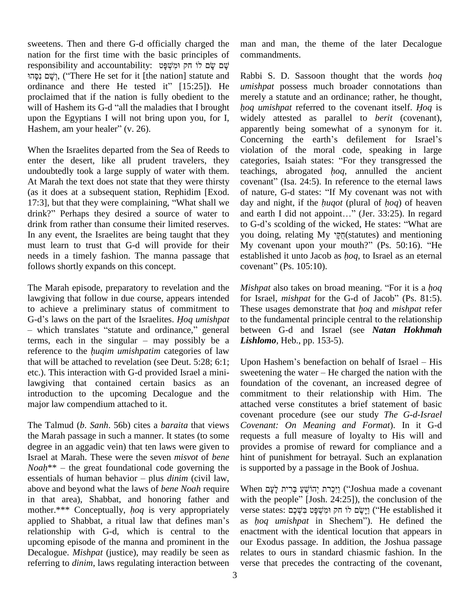sweetens. Then and there G-d officially charged the nation for the first time with the basic principles of cor responsibility and accountability: שָׁם שֵׂם לוֹ חַק וּמִשְׁפָּט " on for the first time with the basic principles of comm<br>
(יְשֶׁם שֶׂם לוּ חַק וְּמִשְׁפָּט en יְהַשָּׁם שֶׂם לוּ חַק וּמִשְׁפָּט<br>
יָשָׁם ('There He set for it [the nation] statute and Rabbi responsibility and accountability: שְׁם עָׂם עָׂם עָׂם עֻׂם לוֹ חק וּמִשְׁפָּט<br>יִשָׁם נִסְהוּ, ("There He set for it [the nation] statute and Rabb<br>ordinance and there He tested it" [15:25]). He *umisi* proclaimed that if the nation is fully obedient to the ordinance and there He tested it" [15:25]). He *umishpat* possess much broader connotations than proclaimed that if the nation is fully obedient to the merely a statute and an ordinance; rather, he thought, will of Hashem upon the Egyptians I will not bring upon you, for I, will of Hashem its G-d "all the maladies that I brought<br>upon the Egyptians I will not bring upon you, for I,<br>Hashem, am your healer" (v. 26).

When the Israelites departed from the Sea of Reeds to enter the desert, like all prudent travelers, they undoubtedly took a large supply of water with them. At Marah the text does not state that they were thirsty covenant" (Isa. 24:5). In reference to the eternal laws (as it does at a subsequent station, Rephidim [Exod. of nature, G-d states: "If My covenant was not with At Marah the text does not state that they were thirsty cover<br>(as it does at a subsequent station, Rephidim [Exod. of na<br>17:3], but that they were complaining, "What shall we day a (as it does at a subsequent station, Rephidim [Exod. of nat 17:3], but that they were complaining, "What shall we day at drink?" Perhaps they desired a source of water to and ea drink from rather than consume their limited reserves. In any event, the Israelites are being taught that they must learn to trust that G-d will provide for their My covenant upon your mouth?" (Ps. 50:16). "He needs in a timely fashion. The manna passage that follows shortly expands on this concept.

The Marah episode, preparatory to revelation and the lawgiving that follow in due course, appears intended for Israelite and preliminary status of commitment to These G-d's laws on the part of the Israelites. *Hoq umishpat* to the to achieve a preliminary status of commitment to These usages demonstrate that *hoq* and *mishpat* refer achieve a preliminary status of commitment to Tl<br>d's laws on the part of the Israelites. Hoq umishpat to<br>which translates "statute and ordinance," general be G-d's laws on the part of the Israelites. *Hoq umishpat* to the – which translates "statute and ordinance," general betweens, each in the singular – may possibly be a *Lishl* - which translates "statute and ordinance," general between<br>terms, each in the singular - may possibly be a *Lishlomo*,<br>reference to the *huqim umishpatim* categories of law that will be attached to revelation (see Deut. 5:28; 6:1; etc.). This interaction with G-d provided Israel a minilawgiving that contained certain basics as an introduction to the upcoming Decalogue and the major law compendium attached to it.

The Talmud (*b*. *Sanh*. 56b) cites a *baraita* that views the Marah passage in such a manner. It states (to some degree in an aggadic vein) that ten laws were given to Israel at Marah. These were the seven *misvot* of *bene* degree in an aggadic vein) that ten laws were given to providently<br>Israel at Marah. These were the seven *misvot* of *bene* hint of<br>*Noah*\*\* – the great foundational code governing the is sup Israel at Marah. These were the seven *misvot* of *bene* hiddle *h* hiddle *h* is essentials of human behavior – plus *dinim* (civil law, above and beyond what the laws of *bene Noah* require When<br>in that area), Shabbat, and honoring father and with the<br>mother.\*\*\* Conceptually, *hoq* is very appropriately verse in that area), Shabbat, and honoring father and with t<br>mother.\*\*\* Conceptually, *hoq* is very appropriately verse<br>applied to Shabbat, a ritual law that defines man's as *ho* relationship with G-d, which is central to the upcoming episode of the manna and prominent in the Decalogue. *Mishpat* (justice), may readily be seen as referring to *dinim*, laws regulating interaction between

man and man, the theme of the later Decalogue commandments.

Rabbi S. D. Sassoon thought that the words *<sup>h</sup>oq umishpat* possess much broader connotations than *<sup>h</sup>oq umishpat* referred to the covenant itself. *<sup>H</sup>oq* is merely a statute and an ordinance; rather, he thought, widely attested as parallel to *berit* (covenant), apparently being somewhat of a synonym for it. Concerning the earth's defilement for Israel's violation of the moral code, speaking in large Concerning the earth's defilement for Israel's<br>violation of the moral code, speaking in large<br>categories, Isaiah states: "For they transgressed the violation of the moral code, speaking in large<br>categories, Isaiah states: "For they transgressed the<br>teachings, abrogated *hoq*, annulled the ancient categories, Isaiah states: "For they transgressed the teachings, abrogated  $hoq$ , annulled the ancient day and night, if the *<sup>h</sup>uqot* (plural of *<sup>h</sup>oq*) of heaven of nature, G-d states: "If My covenant was not with<br>day and night, if the *huqot* (plural of *hoq*) of heaven<br>and earth I did not appoint..." (Jer. 33:25). In regard day and night, if the *huqot* (plural of *hoq*) of heaven<br>and earth I did not appoint..." (Jer. 33:25). In regard<br>to G-d's scolding of the wicked, He states: "What are and earth I did not appoint..." (Jer. 33:25). In regard<br>to G-d's scolding of the wicked, He states: "What are<br>you doing, relating My  $\frac{1}{2!7!}$ (statutes) and mentioning to G-d's scolding of the wicked, He states: "What are pou doing, relating My  $\sqrt{p\pi}$  (statutes) and mentioning My covenant upon your mouth?" (Ps. 50:16). "He established it unto Jacob as *hoq*, to Israel as an eternal My covenant upon your n<br>established it unto Jacob as<br>covenant" (Ps. 105:10). *Covenant*" (Ps. 105:10).<br>*Mishpat* also takes on broad meaning. "For it is a *hoq* 

*Mishpat* also takes on broad meaning. "For it is a *hoq*<br>for Israel, *mishpat* for the G-d of Jacob" (Ps. 81:5). *Mishpat* also takes on broad meaning. "For it is a *hoq* for Israel, *mishpat* for the G-d of Jacob" (Ps. 81:5). These usages demonstrate that *hoq* and *mishpat* refer to the fundamental principle central to the relationship between G-d and Israel (see *Natan Hokhmah Lishlomo*, Heb., pp. 153-5).

Upon Hashem's benefaction on behalf of Israel  $-$  His sweetening the water  $-$  He charged the nation with the foundation of the covenant, an increased degree of commitment to their relationship with Him. The attached verse constitutes a brief statement of basic covenant procedure (see our study *The G-d-Israel Covenant: On Meaning and Format*). In it G-d requests a full measure of loyalty to His will and provides a promise of reward for compliance and a hint of punishment for betrayal. Such an explanation is supported by a passage in the Book of Joshua. is supported by a passage in the Book of Joshua.<br>When יִרְרָת יְהוֹשֵׁעַ בְּרִית לְעָם (''Joshua made a covenant

יִיכְרת יְהוֹשֵׁעַ בְּרִית לְעָם)<br>When יְהוֹשֵׁעַ בִּרִית לְעָם ('Joshua made a covenant with the people'' [Josh. 24:25]), the conclusion of the with the people" [Josh. 24:25]), the conclusion of the verse states: יֵשֽׁם לוֹ חַק וּמִשְׁפַּט בִּשָּׁבֵם ("He established it as *<sup>h</sup>oq umishpat* in Shechemî). He defined the enactment with the identical locution that appears in our Exodus passage. In addition, the Joshua passage relates to ours in standard chiasmic fashion. In the verse that precedes the contracting of the covenant,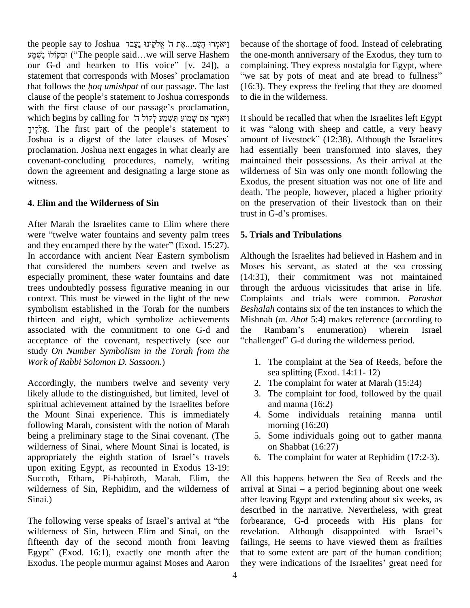the people say to Joshua ײַאֲלִקֵינוּ נַעֲבד<br>אֱלִקֵינוּ נַעֲבד ibe eople say to Joshua יִיאמְרוּ הָעָם...אֶת ה' אֱלֹקֵינוּ נַעַבד<br>יִבְקוֹלוֹ `` fhe people said…we will serve Hashem the one-mo וּבְקוֹלוֹ נִשְׁמָע ("The people said...we will serve Hashem our G-d and hearken to His voice" [v. 24]), a וּבְקוֹלוֹ נִשְׁמָע ("The people said...we will serve Hashem the on our G-d and hearken to His voice" [v. 24]), a compl<br>statement that corresponds with Moses' proclamation "we s our G-d and hearken to His voice" [v. 24]), a costatement that corresponds with Moses' proclamation "verthat follows the *hoq umishpat* of our passage. The last (1) statement that corresponds with Moses' proclamation "we<br>that follows the *hoq umishpat* of our passage. The last (16:<br>clause of the people's statement to Joshua corresponds to di that follows the *hoq umishpat* of our passage. The last clause of the people's statement to Joshua corresponds<br>with the first clause of our passage's proclamation,<br>דיאמֶר אָם שָׁמוֹעַ תִּשְׁמַע לְקוֹל ה' [עמית ישׂמוֹעַ זוֹ clause of the people's statement to Joshua corresponds with the first clause of our passage's proclamation, the first clause of our passage's proclamation,<br>h begins by calling for יְאמֶר אִם שָׁמוֹעַ חְּשָׁמַע לְקוֹל ה'<br>The first part of the people's statement to it was עיאמֶר אָם שָׁמוֹעַ תְּשָׁמַע לְקוֹל ה' It s<br>Joshua is a digest of the people's statement to it .<br>Joshua is a digest of the later clauses of Moses' am proclamation. Joshua next engages in what clearly are covenant-concluding procedures, namely, writing down the agreement and designating a large stone as witness.

#### **4. Elim and the Wilderness of Sin**

After Marah the Israelites came to Elim where there trust i<br>After Marah the Israelites came to Elim where there<br>were "twelve water fountains and seventy palm trees 5. Tri were "twelve water fountains and seventy palm trees and they encamped there by the water" (Exod. 15:27). In accordance with ancient Near Eastern symbolism that considered the numbers seven and twelve as especially prominent, these water fountains and date trees undoubtedly possess figurative meaning in our context. This must be viewed in the light of the new symbolism established in the Torah for the numbers thirteen and eight, which symbolize achievements associated with the commitment to one G-d and acceptance of the covenant, respectively (see our study *On Number Symbolism in the Torah from the Work of Rabbi Solomon D. Sassoon*.)

Accordingly, the numbers twelve and seventy very likely allude to the distinguished, but limited, level of spiritual achievement attained by the Israelites before the Mount Sinai experience. This is immediately following Marah, consistent with the notion of Marah being a preliminary stage to the Sinai covenant. (The 5<br>
wilderness of Sinai, where Mount Sinai is located, is<br>
appropriately the eighth station of Israel's travels 6 wilderness of Sinai, where Mount Sinai is located, is upon exiting Egypt, as recounted in Exodus 13-19: appropriately the eighth station of Israel's travels<br>upon exiting Egypt, as recounted in Exodus 13-19:<br>Succoth, Etham, Pi-hahiroth, Marah, Elim, the wilderness of Sin, Rephidim, and the wilderness of Sinai.)

The following verse speaks of Israel's arrival at "the wilderness of Sin, between Elim and Sinai, on the fifteenth day of the second month from leaving failing wilderness of Sin, between Elim and Sinai, on the revelar<br>fifteenth day of the second month from leaving failin<br>Egypt" (Exod. 16:1), exactly one month after the that t Exodus. The people murmur against Moses and Aaron

because of the shortage of food. Instead of celebrating the one-month anniversary of the Exodus, they turn to<br>complaining. They express nostalgia for Egypt, where<br>"we sat by pots of meat and ate bread to fullness" complaining. They express nostalgia for Egypt, where (16:3). They express the feeling that they are doomed to die in the wilderness.

It should be recalled that when the Israelites left Egypt It should be recalled that when the Israelites left Egypt<br>it was "along with sheep and cattle, a very heavy it was "along with sheep and cattle, a very heavy amount of livestock" (12:38). Although the Israelites had essentially been transformed into slaves, they maintained their possessions. As their arrival at the wilderness of Sin was only one month following the Exodus, the present situation was not one of life and death. The people, however, placed a higher priority on the preservation of their livestock than on their death. The people, however<br>on the preservation of the<br>trust in G-d's promises.

## **5. Trials and Tribulations**

Although the Israelites had believed in Hashem and in Moses his servant, as stated at the sea crossing (14:31), their commitment was not maintained through the arduous vicissitudes that arise in life. Complaints and trials were common. *Parashat Beshalah* contains six of the ten instances to which the<br>Mishnah (*m. Abot* 5:4) makes reference (according to<br>the Rambam's enumeration) wherein Israel Mishnah (*m. Abot* 5:4) makes reference (according to the Rambam's enumeration) wherein Israel<br>"challenged" G-d during the wilderness period.

- 1. The complaint at the Sea of Reeds, before the sea splitting (Exod. 14:11- 12)
- 2. The complaint for water at Marah (15:24)
- 3. The complaint for food, followed by the quail and manna (16:2)
- 4. Some individuals retaining manna until morning (16:20)
- 5. Some individuals going out to gather manna on Shabbat (16:27)
- 6. The complaint for water at Rephidim (17:2-3).

All this happens between the Sea of Reeds and the arrival at Sinai  $-$  a period beginning about one week after leaving Egypt and extending about six weeks, as described in the narrative. Nevertheless, with great forbearance, G-d proceeds with His plans for revelation. Although disappointed with Israel's failings, He seems to have viewed them as frailties that to some extent are part of the human condition; they were indications of the Israelites' great need for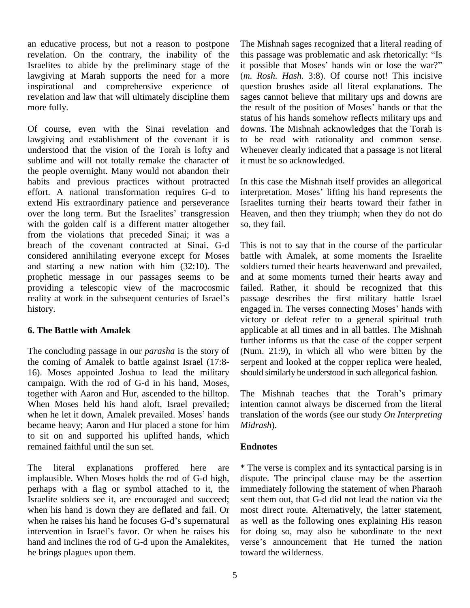an educative process, but not a reason to postpone revelation. On the contrary, the inability of the Israelites to abide by the preliminary stage of the lawgiving at Marah supports the need for a more inspirational and comprehensive experience of revelation and law that will ultimately discipline them more fully.

Of course, even with the Sinai revelation and lawgiving and establishment of the covenant it is understood that the vision of the Torah is lofty and sublime and will not totally remake the character of the people overnight. Many would not abandon their habits and previous practices without protracted effort. A national transformation requires G-d to interprextend His extraordinary patience and perseverance Israeli<br>over the long term. But the Israelites' transgression Heave extend His extraordinary patience and perseverance with the golden calf is a different matter altogether from the violations that preceded Sinai; it was a breach of the covenant contracted at Sinai. G-d considered annihilating everyone except for Moses and starting a new nation with him (32:10). The prophetic message in our passages seems to be and a<br>providing a telescopic view of the macrocosmic failed<br>reality at work in the subsequent centuries of Israel's passa providing a telescopic view of the macrocosmic history.

#### **6. The Battle with Amalek**

The concluding passage in our *parasha* is the story of the coming of Amalek to battle against Israel (17:8-16). Moses appointed Joshua to lead the military campaign. With the rod of G-d in his hand, Moses, together with Aaron and Hur, ascended to the hilltop. The When Moses held his hand aloft, Israel prevailed; inter when he let it down, Amalek prevailed. Moses' hands trans When Moses held his hand aloft, Israel prevailed; became heavy; Aaron and Hur placed a stone for him to sit on and supported his uplifted hands, which remained faithful until the sun set.

The literal explanations proffered here are implausible. When Moses holds the rod of G-d high, perhaps with a flag or symbol attached to it, the Israelite soldiers see it, are encouraged and succeed; see<br>when his hand is down they are deflated and fail. Or m<br>when he raises his hand he focuses G-d's supernatural as when his hand is down they are deflated and fail. Or when he raises his hand he focuses G-d's supernatural intervention in Israel's favor. Or when he raises his hand and inclines the rod of G-d upon the Amalekites, verse's announcement that He turned the nation he brings plagues upon them.

The Mishnah sages recognized that a literal reading of this passage was problematic and ask rhetorically: "Is it possible that Moses' hands win or lose the war?" (*m. Rosh. Hash.* 3:8). Of course not! This incisive question brushes aside all literal explanations. The sages cannot believe that military ups and downs are question brushes aside all literal explanations. The<br>sages cannot believe that military ups and downs are<br>the result of the position of Moses' hands or that the status of his hands somehow reflects military ups and downs. The Mishnah acknowledges that the Torah is to be read with rationality and common sense. Whenever clearly indicated that a passage is not literal it must be so acknowledged.

In this case the Mishnah itself provides an allegorical In this case the Mishnah itself provides an allegorical<br>interpretation. Moses' lifting his hand represents the Israelites turning their hearts toward their father in Heaven, and then they triumph; when they do not do so, they fail.

This is not to say that in the course of the particular battle with Amalek, at some moments the Israelite soldiers turned their hearts heavenward and prevailed, and at some moments turned their hearts away and failed. Rather, it should be recognized that this passage describes the first military battle Israel failed. Rather, it should be recognized that this<br>passage describes the first military battle Israel<br>engaged in. The verses connecting Moses' hands with victory or defeat refer to a general spiritual truth applicable at all times and in all battles. The Mishnah further informs us that the case of the copper serpent (Num. 21:9), in which all who were bitten by the serpent and looked at the copper replica were healed, should similarly be understood in such allegorical fashion.<br>The Mishnah teaches that the Torah's primary

intention cannot always be discerned from the literal translation of the words (see our study *On Interpreting Midrash*).

#### **Endnotes**

\* The verse is complex and its syntactical parsing is in dispute. The principal clause may be the assertion immediately following the statement of when Pharaoh sent them out, that G-d did not lead the nation via the most direct route. Alternatively, the latter statement, as well as the following ones explaining His reason for doing so, may also be subordinate to the next as well as the following ones explaining His reason<br>for doing so, may also be subordinate to the next<br>verse's announcement that He turned the nation toward the wilderness.